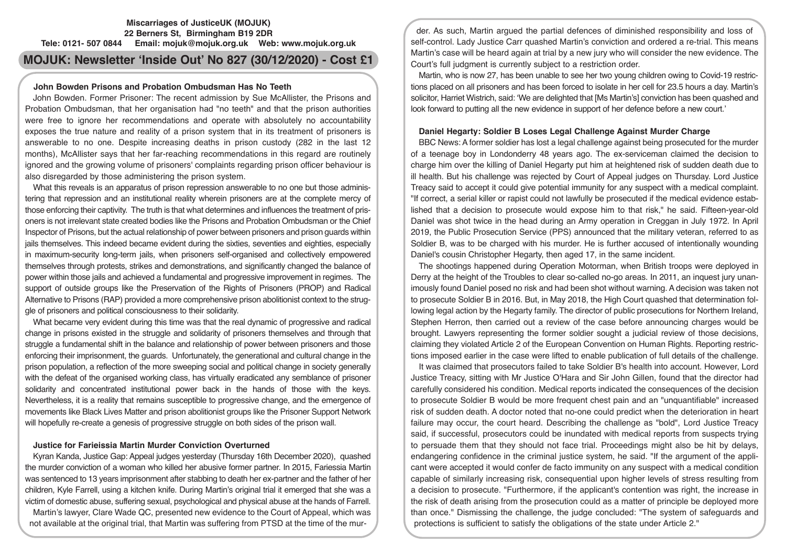# **Miscarriages of JusticeUK (MOJUK) 22 Berners St, Birmingham B19 2DR Tele: 0121- 507 0844 Email: mojuk@mojuk.org.uk Web: www.mojuk.org.uk**

# **MOJUK: Newsletter 'Inside Out' No 827 (30/12/2020) - Cost £1**

# **John Bowden Prisons and Probation Ombudsman Has No Teeth**

John Bowden. Former Prisoner: The recent admission by Sue McAllister, the Prisons and Probation Ombudsman, that her organisation had "no teeth" and that the prison authorities were free to ignore her recommendations and operate with absolutely no accountability exposes the true nature and reality of a prison system that in its treatment of prisoners is answerable to no one. Despite increasing deaths in prison custody (282 in the last 12 months), McAllister says that her far-reaching recommendations in this regard are routinely ignored and the growing volume of prisoners' complaints regarding prison officer behaviour is also disregarded by those administering the prison system.

What this reveals is an apparatus of prison repression answerable to no one but those administering that repression and an institutional reality wherein prisoners are at the complete mercy of those enforcing their captivity. The truth is that what determines and influences the treatment of prisoners is not irrelevant state created bodies like the Prisons and Probation Ombudsman or the Chief Inspector of Prisons, but the actual relationship of power between prisoners and prison guards within jails themselves. This indeed became evident during the sixties, seventies and eighties, especially in maximum-security long-term jails, when prisoners self-organised and collectively empowered themselves through protests, strikes and demonstrations, and significantly changed the balance of power within those jails and achieved a fundamental and progressive improvement in regimes. The support of outside groups like the Preservation of the Rights of Prisoners (PROP) and Radical Alternative to Prisons (RAP) provided a more comprehensive prison abolitionist context to the struggle of prisoners and political consciousness to their solidarity.

What became very evident during this time was that the real dynamic of progressive and radical change in prisons existed in the struggle and solidarity of prisoners themselves and through that struggle a fundamental shift in the balance and relationship of power between prisoners and those enforcing their imprisonment, the guards. Unfortunately, the generational and cultural change in the prison population, a reflection of the more sweeping social and political change in society generally with the defeat of the organised working class, has virtually eradicated any semblance of prisoner solidarity and concentrated institutional power back in the hands of those with the keys. Nevertheless, it is a reality that remains susceptible to progressive change, and the emergence of movements like Black Lives Matter and prison abolitionist groups like the Prisoner Support Network will hopefully re-create a genesis of progressive struggle on both sides of the prison wall.

# **Justice for Farieissia Martin Murder Conviction Overturned**

Kyran Kanda, Justice Gap: Appeal judges yesterday (Thursday 16th December 2020), quashed the murder conviction of a woman who killed her abusive former partner. In 2015, Fariessia Martin was sentenced to 13 years imprisonment after stabbing to death her ex-partner and the father of her children, Kyle Farrell, using a kitchen knife. During Martin's original trial it emerged that she was a victim of domestic abuse, suffering sexual, psychological and physical abuse at the hands of Farrell. Martin's lawyer, Clare Wade QC, presented new evidence to the Court of Appeal, which was not available at the original trial, that Martin was suffering from PTSD at the time of the mur-

der. As such, Martin argued the partial defences of diminished responsibility and loss of self-control. Lady Justice Carr quashed Martin's conviction and ordered a re-trial. This means Martin's case will be heard again at trial by a new jury who will consider the new evidence. The Court's full judgment is currently subject to a restriction order.

Martin, who is now 27, has been unable to see her two young children owing to Covid-19 restrictions placed on all prisoners and has been forced to isolate in her cell for 23.5 hours a day. Martin's solicitor, Harriet Wistrich, said: 'We are delighted that [Ms Martin's] conviction has been quashed and look forward to putting all the new evidence in support of her defence before a new court.'

# **Daniel Hegarty: Soldier B Loses Legal Challenge Against Murder Charge**

BBC News: A former soldier has lost a legal challenge against being prosecuted for the murder of a teenage boy in Londonderry 48 years ago. The ex-serviceman claimed the decision to charge him over the killing of Daniel Hegarty put him at heightened risk of sudden death due to ill health. But his challenge was rejected by Court of Appeal judges on Thursday. Lord Justice Treacy said to accept it could give potential immunity for any suspect with a medical complaint. "If correct, a serial killer or rapist could not lawfully be prosecuted if the medical evidence established that a decision to prosecute would expose him to that risk," he said. Fifteen-year-old Daniel was shot twice in the head during an Army operation in Creggan in July 1972. In April 2019, the Public Prosecution Service (PPS) announced that the military veteran, referred to as Soldier B, was to be charged with his murder. He is further accused of intentionally wounding Daniel's cousin Christopher Hegarty, then aged 17, in the same incident.

The shootings happened during Operation Motorman, when British troops were deployed in Derry at the height of the Troubles to clear so-called no-go areas. In 2011, an inquest jury unanimously found Daniel posed no risk and had been shot without warning. A decision was taken not to prosecute Soldier B in 2016. But, in May 2018, the High Court quashed that determination following legal action by the Hegarty family. The director of public prosecutions for Northern Ireland, Stephen Herron, then carried out a review of the case before announcing charges would be brought. Lawyers representing the former soldier sought a judicial review of those decisions, claiming they violated Article 2 of the European Convention on Human Rights. Reporting restrictions imposed earlier in the case were lifted to enable publication of full details of the challenge.

It was claimed that prosecutors failed to take Soldier B's health into account. However, Lord Justice Treacy, sitting with Mr Justice O'Hara and Sir John Gillen, found that the director had carefully considered his condition. Medical reports indicated the consequences of the decision to prosecute Soldier B would be more frequent chest pain and an "unquantifiable" increased risk of sudden death. A doctor noted that no-one could predict when the deterioration in heart failure may occur, the court heard. Describing the challenge as "bold", Lord Justice Treacy said, if successful, prosecutors could be inundated with medical reports from suspects trying to persuade them that they should not face trial. Proceedings might also be hit by delays, endangering confidence in the criminal justice system, he said. "If the argument of the applicant were accepted it would confer de facto immunity on any suspect with a medical condition capable of similarly increasing risk, consequential upon higher levels of stress resulting from a decision to prosecute. "Furthermore, if the applicant's contention was right, the increase in the risk of death arising from the prosecution could as a matter of principle be deployed more than once." Dismissing the challenge, the judge concluded: "The system of safeguards and protections is sufficient to satisfy the obligations of the state under Article 2."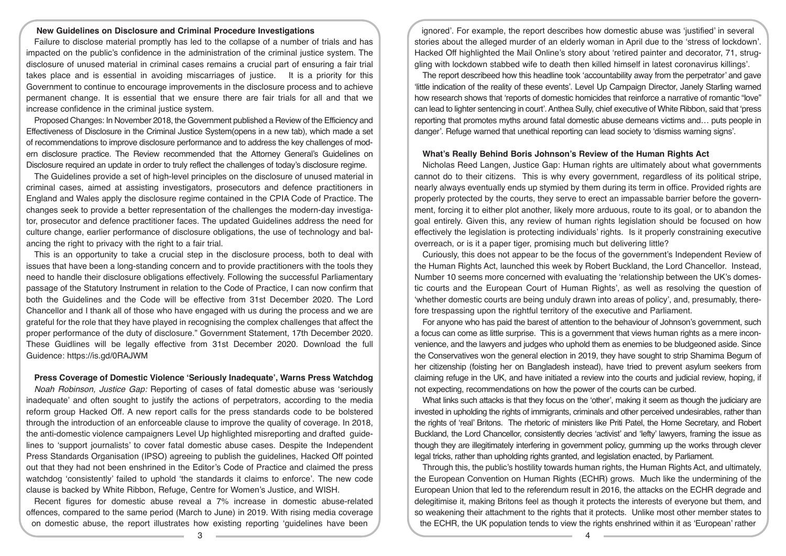#### **New Guidelines on Disclosure and Criminal Procedure Investigations**

Failure to disclose material promptly has led to the collapse of a number of trials and has impacted on the public's confidence in the administration of the criminal justice system. The disclosure of unused material in criminal cases remains a crucial part of ensuring a fair trial takes place and is essential in avoiding miscarriages of justice. It is a priority for this Government to continue to encourage improvements in the disclosure process and to achieve permanent change. It is essential that we ensure there are fair trials for all and that we increase confidence in the criminal justice system.

Proposed Changes: In November 2018, the Government published a Review of the Efficiency and Effectiveness of Disclosure in the Criminal Justice System(opens in a new tab), which made a set of recommendations to improve disclosure performance and to address the key challenges of modern disclosure practice. The Review recommended that the Attorney General's Guidelines on Disclosure required an update in order to truly reflect the challenges of today's disclosure regime.

The Guidelines provide a set of high-level principles on the disclosure of unused material in criminal cases, aimed at assisting investigators, prosecutors and defence practitioners in England and Wales apply the disclosure regime contained in the CPIA Code of Practice. The changes seek to provide a better representation of the challenges the modern-day investigator, prosecutor and defence practitioner faces. The updated Guidelines address the need for culture change, earlier performance of disclosure obligations, the use of technology and balancing the right to privacy with the right to a fair trial.

This is an opportunity to take a crucial step in the disclosure process, both to deal with issues that have been a long-standing concern and to provide practitioners with the tools they need to handle their disclosure obligations effectively. Following the successful Parliamentary passage of the Statutory Instrument in relation to the Code of Practice, I can now confirm that both the Guidelines and the Code will be effective from 31st December 2020. The Lord Chancellor and I thank all of those who have engaged with us during the process and we are grateful for the role that they have played in recognising the complex challenges that affect the proper performance of the duty of disclosure." Government Statement, 17th December 2020. These Guidlines will be legally effective from 31st December 2020. Download the full Guidence: https://is.gd/0RAJWM

#### **Press Coverage of Domestic Violence 'Seriously Inadequate', Warns Press Watchdog**

*Noah Robinson, Justice Gap:* Reporting of cases of fatal domestic abuse was 'seriously inadequate' and often sought to justify the actions of perpetrators, according to the media reform group Hacked Off. A new report calls for the press standards code to be bolstered through the introduction of an enforceable clause to improve the quality of coverage. In 2018, the anti-domestic violence campaigners Level Up highlighted misreporting and drafted guidelines to 'support journalists' to cover fatal domestic abuse cases. Despite the Independent Press Standards Organisation (IPSO) agreeing to publish the guidelines, Hacked Off pointed out that they had not been enshrined in the Editor's Code of Practice and claimed the press watchdog 'consistently' failed to uphold 'the standards it claims to enforce'. The new code clause is backed by White Ribbon, Refuge, Centre for Women's Justice, and WISH.

Recent figures for domestic abuse reveal a 7% increase in domestic abuse-related offences, compared to the same period (March to June) in 2019. With rising media coverage on domestic abuse, the report illustrates how existing reporting 'guidelines have been

ignored'. For example, the report describes how domestic abuse was 'justified' in several stories about the alleged murder of an elderly woman in April due to the 'stress of lockdown'. Hacked Off highlighted the Mail Online's story about 'retired painter and decorator, 71, struggling with lockdown stabbed wife to death then killed himself in latest coronavirus killings'.

The report describeed how this headline took 'accountability away from the perpetrator' and gave 'little indication of the reality of these events'. Level Up Campaign Director, Janely Starling warned how research shows that 'reports of domestic homicides that reinforce a narrative of romantic "love" can lead to lighter sentencing in court'. Anthea Sully, chief executive of White Ribbon, said that 'press reporting that promotes myths around fatal domestic abuse demeans victims and… puts people in danger'. Refuge warned that unethical reporting can lead society to 'dismiss warning signs'.

#### **What's Really Behind Boris Johnson's Review of the Human Rights Act**

Nicholas Reed Langen, Justice Gap: Human rights are ultimately about what governments cannot do to their citizens. This is why every government, regardless of its political stripe, nearly always eventually ends up stymied by them during its term in office. Provided rights are properly protected by the courts, they serve to erect an impassable barrier before the government, forcing it to either plot another, likely more arduous, route to its goal, or to abandon the goal entirely. Given this, any review of human rights legislation should be focused on how effectively the legislation is protecting individuals' rights. Is it properly constraining executive overreach, or is it a paper tiger, promising much but delivering little?

Curiously, this does not appear to be the focus of the government's Independent Review of the Human Rights Act, launched this week by Robert Buckland, the Lord Chancellor. Instead, Number 10 seems more concerned with evaluating the 'relationship between the UK's domestic courts and the European Court of Human Rights', as well as resolving the question of 'whether domestic courts are being unduly drawn into areas of policy', and, presumably, therefore trespassing upon the rightful territory of the executive and Parliament.

For anyone who has paid the barest of attention to the behaviour of Johnson's government, such a focus can come as little surprise. This is a government that views human rights as a mere inconvenience, and the lawyers and judges who uphold them as enemies to be bludgeoned aside. Since the Conservatives won the general election in 2019, they have sought to strip Shamima Begum of her citizenship (foisting her on Bangladesh instead), have tried to prevent asylum seekers from claiming refuge in the UK, and have initiated a review into the courts and judicial review, hoping, if not expecting, recommendations on how the power of the courts can be curbed.

What links such attacks is that they focus on the 'other', making it seem as though the judiciary are invested in upholding the rights of immigrants, criminals and other perceived undesirables, rather than the rights of 'real' Britons. The rhetoric of ministers like Priti Patel, the Home Secretary, and Robert Buckland, the Lord Chancellor, consistently decries 'activist' and 'lefty' lawyers, framing the issue as though they are illegitimately interfering in government policy, gumming up the works through clever legal tricks, rather than upholding rights granted, and legislation enacted, by Parliament.

Through this, the public's hostility towards human rights, the Human Rights Act, and ultimately, the European Convention on Human Rights (ECHR) grows. Much like the undermining of the European Union that led to the referendum result in 2016, the attacks on the ECHR degrade and delegitimise it, making Britons feel as though it protects the interests of everyone but them, and so weakening their attachment to the rights that it protects. Unlike most other member states to the ECHR, the UK population tends to view the rights enshrined within it as 'European' rather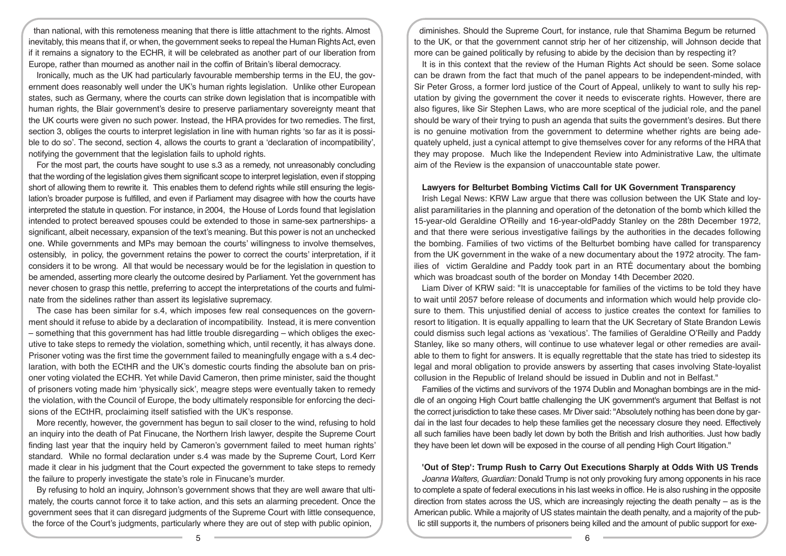than national, with this remoteness meaning that there is little attachment to the rights. Almost inevitably, this means that if, or when, the government seeks to repeal the Human Rights Act, even if it remains a signatory to the ECHR, it will be celebrated as another part of our liberation from Europe, rather than mourned as another nail in the coffin of Britain's liberal democracy.

Ironically, much as the UK had particularly favourable membership terms in the EU, the government does reasonably well under the UK's human rights legislation. Unlike other European states, such as Germany, where the courts can strike down legislation that is incompatible with human rights, the Blair government's desire to preserve parliamentary sovereignty meant that the UK courts were given no such power. Instead, the HRA provides for two remedies. The first, section 3, obliges the courts to interpret legislation in line with human rights 'so far as it is possible to do so'. The second, section 4, allows the courts to grant a 'declaration of incompatibility', notifying the government that the legislation fails to uphold rights.

For the most part, the courts have sought to use s.3 as a remedy, not unreasonably concluding that the wording of the legislation gives them significant scope to interpret legislation, even if stopping short of allowing them to rewrite it. This enables them to defend rights while still ensuring the legislation's broader purpose is fulfilled, and even if Parliament may disagree with how the courts have interpreted the statute in question. For instance, in 2004, the House of Lords found that legislation intended to protect bereaved spouses could be extended to those in same-sex partnerships- a significant, albeit necessary, expansion of the text's meaning. But this power is not an unchecked one. While governments and MPs may bemoan the courts' willingness to involve themselves, ostensibly, in policy, the government retains the power to correct the courts' interpretation, if it considers it to be wrong. All that would be necessary would be for the legislation in question to be amended, asserting more clearly the outcome desired by Parliament. Yet the government has never chosen to grasp this nettle, preferring to accept the interpretations of the courts and fulminate from the sidelines rather than assert its legislative supremacy.

The case has been similar for s.4, which imposes few real consequences on the government should it refuse to abide by a declaration of incompatibility. Instead, it is mere convention – something that this government has had little trouble disregarding – which obliges the executive to take steps to remedy the violation, something which, until recently, it has always done. Prisoner voting was the first time the government failed to meaningfully engage with a s.4 declaration, with both the ECtHR and the UK's domestic courts finding the absolute ban on prisoner voting violated the ECHR. Yet while David Cameron, then prime minister, said the thought of prisoners voting made him 'physically sick', meagre steps were eventually taken to remedy the violation, with the Council of Europe, the body ultimately responsible for enforcing the decisions of the ECtHR, proclaiming itself satisfied with the UK's response.

More recently, however, the government has begun to sail closer to the wind, refusing to hold an inquiry into the death of Pat Finucane, the Northern Irish lawyer, despite the Supreme Court finding last year that the inquiry held by Cameron's government failed to meet human rights' standard. While no formal declaration under s.4 was made by the Supreme Court, Lord Kerr made it clear in his judgment that the Court expected the government to take steps to remedy the failure to properly investigate the state's role in Finucane's murder.

By refusing to hold an inquiry, Johnson's government shows that they are well aware that ultimately, the courts cannot force it to take action, and this sets an alarming precedent. Once the government sees that it can disregard judgments of the Supreme Court with little consequence, the force of the Court's judgments, particularly where they are out of step with public opinion,

diminishes. Should the Supreme Court, for instance, rule that Shamima Begum be returned to the UK, or that the government cannot strip her of her citizenship, will Johnson decide that more can be gained politically by refusing to abide by the decision than by respecting it?

It is in this context that the review of the Human Rights Act should be seen. Some solace can be drawn from the fact that much of the panel appears to be independent-minded, with Sir Peter Gross, a former lord justice of the Court of Appeal, unlikely to want to sully his reputation by giving the government the cover it needs to eviscerate rights. However, there are also figures, like Sir Stephen Laws, who are more sceptical of the judicial role, and the panel should be wary of their trying to push an agenda that suits the government's desires. But there is no genuine motivation from the government to determine whether rights are being adequately upheld, just a cynical attempt to give themselves cover for any reforms of the HRA that they may propose. Much like the Independent Review into Administrative Law, the ultimate aim of the Review is the expansion of unaccountable state power.

#### **Lawyers for Belturbet Bombing Victims Call for UK Government Transparency**

Irish Legal News: KRW Law argue that there was collusion between the UK State and loyalist paramilitaries in the planning and operation of the detonation of the bomb which killed the 15-year-old Geraldine O'Reilly and 16-year-oldPaddy Stanley on the 28th December 1972, and that there were serious investigative failings by the authorities in the decades following the bombing. Families of two victims of the Belturbet bombing have called for transparency from the UK government in the wake of a new documentary about the 1972 atrocity. The families of victim Geraldine and Paddy took part in an RTÉ documentary about the bombing which was broadcast south of the border on Monday 14th December 2020.

Liam Diver of KRW said: "It is unacceptable for families of the victims to be told they have to wait until 2057 before release of documents and information which would help provide closure to them. This unjustified denial of access to justice creates the context for families to resort to litigation. It is equally appalling to learn that the UK Secretary of State Brandon Lewis could dismiss such legal actions as 'vexatious'. The families of Geraldine O'Reilly and Paddy Stanley, like so many others, will continue to use whatever legal or other remedies are available to them to fight for answers. It is equally regrettable that the state has tried to sidestep its legal and moral obligation to provide answers by asserting that cases involving State-loyalist collusion in the Republic of Ireland should be issued in Dublin and not in Belfast."

Families of the victims and survivors of the 1974 Dublin and Monaghan bombings are in the middle of an ongoing High Court battle challenging the UK government's argument that Belfast is not the correct jurisdiction to take these cases. Mr Diver said: "Absolutely nothing has been done by gardaí in the last four decades to help these families get the necessary closure they need. Effectively all such families have been badly let down by both the British and Irish authorities. Just how badly they have been let down will be exposed in the course of all pending High Court litigation."

**'Out of Step': Trump Rush to Carry Out Executions Sharply at Odds With US Trends** 

*Joanna Walters, Guardian:* Donald Trump is not only provoking fury among opponents in his race to complete a spate of federal executions in his last weeks in office. He is also rushing in the opposite direction from states across the US, which are increasingly rejecting the death penalty – as is the American public. While a majority of US states maintain the death penalty, and a majority of the public still supports it, the numbers of prisoners being killed and the amount of public support for exe-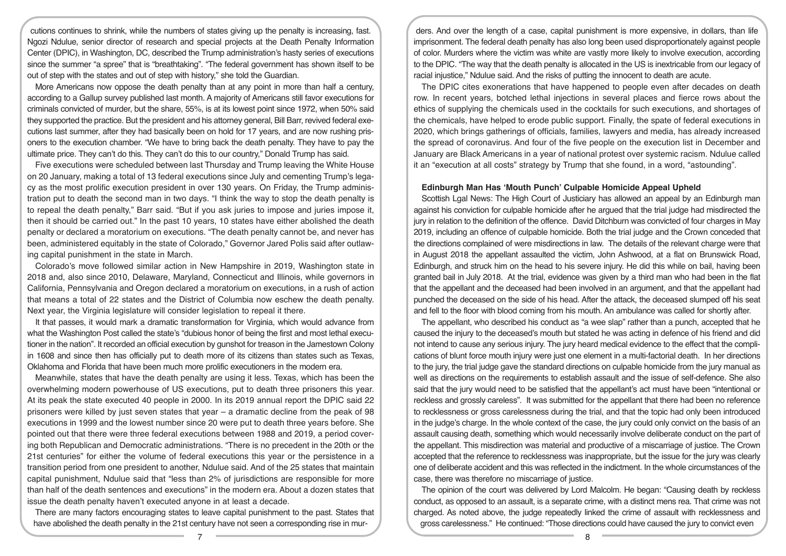cutions continues to shrink, while the numbers of states giving up the penalty is increasing, fast. Ngozi Ndulue, senior director of research and special projects at the Death Penalty Information Center (DPIC), in Washington, DC, described the Trump administration's hasty series of executions since the summer "a spree" that is "breathtaking". "The federal government has shown itself to be out of step with the states and out of step with history," she told the Guardian.

More Americans now oppose the death penalty than at any point in more than half a century, according to a Gallup survey published last month. A majority of Americans still favor executions for criminals convicted of murder, but the share, 55%, is at its lowest point since 1972, when 50% said they supported the practice. But the president and his attorney general, Bill Barr, revived federal executions last summer, after they had basically been on hold for 17 years, and are now rushing prisoners to the execution chamber. "We have to bring back the death penalty. They have to pay the ultimate price. They can't do this. They can't do this to our country," Donald Trump has said.

Five executions were scheduled between last Thursday and Trump leaving the White House on 20 January, making a total of 13 federal executions since July and cementing Trump's legacy as the most prolific execution president in over 130 years. On Friday, the Trump administration put to death the second man in two days. "I think the way to stop the death penalty is to repeal the death penalty," Barr said. "But if you ask juries to impose and juries impose it, then it should be carried out." In the past 10 years, 10 states have either abolished the death penalty or declared a moratorium on executions. "The death penalty cannot be, and never has been, administered equitably in the state of Colorado," Governor Jared Polis said after outlawing capital punishment in the state in March.

Colorado's move followed similar action in New Hampshire in 2019, Washington state in 2018 and, also since 2010, Delaware, Maryland, Connecticut and Illinois, while governors in California, Pennsylvania and Oregon declared a moratorium on executions, in a rush of action that means a total of 22 states and the District of Columbia now eschew the death penalty. Next year, the Virginia legislature will consider legislation to repeal it there.

It that passes, it would mark a dramatic transformation for Virginia, which would advance from what the Washington Post called the state's "dubious honor of being the first and most lethal executioner in the nation". It recorded an official execution by gunshot for treason in the Jamestown Colony in 1608 and since then has officially put to death more of its citizens than states such as Texas, Oklahoma and Florida that have been much more prolific executioners in the modern era.

Meanwhile, states that have the death penalty are using it less. Texas, which has been the overwhelming modern powerhouse of US executions, put to death three prisoners this year. At its peak the state executed 40 people in 2000. In its 2019 annual report the DPIC said 22 prisoners were killed by just seven states that year – a dramatic decline from the peak of 98 executions in 1999 and the lowest number since 20 were put to death three years before. She pointed out that there were three federal executions between 1988 and 2019, a period covering both Republican and Democratic administrations. "There is no precedent in the 20th or the 21st centuries" for either the volume of federal executions this year or the persistence in a transition period from one president to another, Ndulue said. And of the 25 states that maintain capital punishment, Ndulue said that "less than 2% of jurisdictions are responsible for more than half of the death sentences and executions" in the modern era. About a dozen states that issue the death penalty haven't executed anyone in at least a decade.

There are many factors encouraging states to leave capital punishment to the past. States that have abolished the death penalty in the 21st century have not seen a corresponding rise in mur-

ders. And over the length of a case, capital punishment is more expensive, in dollars, than life imprisonment. The federal death penalty has also long been used disproportionately against people of color. Murders where the victim was white are vastly more likely to involve execution, according to the DPIC. "The way that the death penalty is allocated in the US is inextricable from our legacy of racial injustice," Ndulue said. And the risks of putting the innocent to death are acute.

The DPIC cites exonerations that have happened to people even after decades on death row. In recent years, botched lethal injections in several places and fierce rows about the ethics of supplying the chemicals used in the cocktails for such executions, and shortages of the chemicals, have helped to erode public support. Finally, the spate of federal executions in 2020, which brings gatherings of officials, families, lawyers and media, has already increased the spread of coronavirus. And four of the five people on the execution list in December and January are Black Americans in a year of national protest over systemic racism. Ndulue called it an "execution at all costs" strategy by Trump that she found, in a word, "astounding".

#### **Edinburgh Man Has 'Mouth Punch' Culpable Homicide Appeal Upheld**

Scottish Lgal News: The High Court of Justiciary has allowed an appeal by an Edinburgh man against his conviction for culpable homicide after he argued that the trial judge had misdirected the jury in relation to the definition of the offence. David Ditchburn was convicted of four charges in May 2019, including an offence of culpable homicide. Both the trial judge and the Crown conceded that the directions complained of were misdirections in law. The details of the relevant charge were that in August 2018 the appellant assaulted the victim, John Ashwood, at a flat on Brunswick Road, Edinburgh, and struck him on the head to his severe injury. He did this while on bail, having been granted bail in July 2018. At the trial, evidence was given by a third man who had been in the flat that the appellant and the deceased had been involved in an argument, and that the appellant had punched the deceased on the side of his head. After the attack, the deceased slumped off his seat and fell to the floor with blood coming from his mouth. An ambulance was called for shortly after.

The appellant, who described his conduct as "a wee slap" rather than a punch, accepted that he caused the injury to the deceased's mouth but stated he was acting in defence of his friend and did not intend to cause any serious injury. The jury heard medical evidence to the effect that the complications of blunt force mouth injury were just one element in a multi-factorial death. In her directions to the jury, the trial judge gave the standard directions on culpable homicide from the jury manual as well as directions on the requirements to establish assault and the issue of self-defence. She also said that the jury would need to be satisfied that the appellant's act must have been "intentional or reckless and grossly careless". It was submitted for the appellant that there had been no reference to recklessness or gross carelessness during the trial, and that the topic had only been introduced in the judge's charge. In the whole context of the case, the jury could only convict on the basis of an assault causing death, something which would necessarily involve deliberate conduct on the part of the appellant. This misdirection was material and productive of a miscarriage of justice. The Crown accepted that the reference to recklessness was inappropriate, but the issue for the jury was clearly one of deliberate accident and this was reflected in the indictment. In the whole circumstances of the case, there was therefore no miscarriage of justice.

The opinion of the court was delivered by Lord Malcolm. He began: "Causing death by reckless conduct, as opposed to an assault, is a separate crime, with a distinct mens rea. That crime was not charged. As noted above, the judge repeatedly linked the crime of assault with recklessness and gross carelessness." He continued: "Those directions could have caused the jury to convict even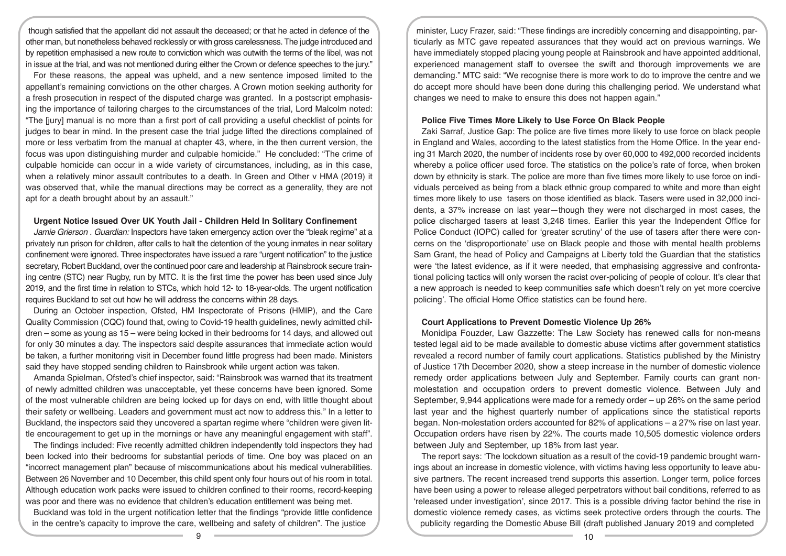though satisfied that the appellant did not assault the deceased; or that he acted in defence of the other man, but nonetheless behaved recklessly or with gross carelessness. The judge introduced and by repetition emphasised a new route to conviction which was outwith the terms of the libel, was not in issue at the trial, and was not mentioned during either the Crown or defence speeches to the jury."

For these reasons, the appeal was upheld, and a new sentence imposed limited to the appellant's remaining convictions on the other charges. A Crown motion seeking authority for a fresh prosecution in respect of the disputed charge was granted. In a postscript emphasising the importance of tailoring charges to the circumstances of the trial, Lord Malcolm noted: "The [jury] manual is no more than a first port of call providing a useful checklist of points for judges to bear in mind. In the present case the trial judge lifted the directions complained of more or less verbatim from the manual at chapter 43, where, in the then current version, the focus was upon distinguishing murder and culpable homicide." He concluded: "The crime of culpable homicide can occur in a wide variety of circumstances, including, as in this case, when a relatively minor assault contributes to a death. In Green and Other v HMA (2019) it was observed that, while the manual directions may be correct as a generality, they are not apt for a death brought about by an assault."

### **Urgent Notice Issued Over UK Youth Jail - Children Held In Solitary Confinement**

*Jamie Grierson . Guardian:* Inspectors have taken emergency action over the "bleak regime" at a privately run prison for children, after calls to halt the detention of the young inmates in near solitary confinement were ignored. Three inspectorates have issued a rare "urgent notification" to the justice secretary, Robert Buckland, over the continued poor care and leadership at Rainsbrook secure training centre (STC) near Rugby, run by MTC. It is the first time the power has been used since July 2019, and the first time in relation to STCs, which hold 12- to 18-year-olds. The urgent notification requires Buckland to set out how he will address the concerns within 28 days.

During an October inspection, Ofsted, HM Inspectorate of Prisons (HMIP), and the Care Quality Commission (CQC) found that, owing to Covid-19 health guidelines, newly admitted children – some as young as 15 – were being locked in their bedrooms for 14 days, and allowed out for only 30 minutes a day. The inspectors said despite assurances that immediate action would be taken, a further monitoring visit in December found little progress had been made. Ministers said they have stopped sending children to Rainsbrook while urgent action was taken.

Amanda Spielman, Ofsted's chief inspector, said: "Rainsbrook was warned that its treatment of newly admitted children was unacceptable, yet these concerns have been ignored. Some of the most vulnerable children are being locked up for days on end, with little thought about their safety or wellbeing. Leaders and government must act now to address this." In a letter to Buckland, the inspectors said they uncovered a spartan regime where "children were given little encouragement to get up in the mornings or have any meaningful engagement with staff".

The findings included: Five recently admitted children independently told inspectors they had been locked into their bedrooms for substantial periods of time. One boy was placed on an "incorrect management plan" because of miscommunications about his medical vulnerabilities. Between 26 November and 10 December, this child spent only four hours out of his room in total. Although education work packs were issued to children confined to their rooms, record-keeping was poor and there was no evidence that children's education entitlement was being met.

Buckland was told in the urgent notification letter that the findings "provide little confidence in the centre's capacity to improve the care, wellbeing and safety of children". The justice

minister, Lucy Frazer, said: "These findings are incredibly concerning and disappointing, particularly as MTC gave repeated assurances that they would act on previous warnings. We have immediately stopped placing young people at Rainsbrook and have appointed additional, experienced management staff to oversee the swift and thorough improvements we are demanding." MTC said: "We recognise there is more work to do to improve the centre and we do accept more should have been done during this challenging period. We understand what changes we need to make to ensure this does not happen again."

# **Police Five Times More Likely to Use Force On Black People**

Zaki Sarraf, Justice Gap: The police are five times more likely to use force on black people in England and Wales, according to the latest statistics from the Home Office. In the year ending 31 March 2020, the number of incidents rose by over 60,000 to 492,000 recorded incidents whereby a police officer used force. The statistics on the police's rate of force, when broken down by ethnicity is stark. The police are more than five times more likely to use force on individuals perceived as being from a black ethnic group compared to white and more than eight times more likely to use tasers on those identified as black. Tasers were used in 32,000 incidents, a 37% increase on last year—though they were not discharged in most cases, the police discharged tasers at least 3,248 times. Earlier this year the Independent Office for Police Conduct (IOPC) called for 'greater scrutiny' of the use of tasers after there were concerns on the 'disproportionate' use on Black people and those with mental health problems Sam Grant, the head of Policy and Campaigns at Liberty told the Guardian that the statistics were 'the latest evidence, as if it were needed, that emphasising aggressive and confrontational policing tactics will only worsen the racist over-policing of people of colour. It's clear that a new approach is needed to keep communities safe which doesn't rely on yet more coercive policing'. The official Home Office statistics can be found here.

# **Court Applications to Prevent Domestic Violence Up 26%**

Monidipa Fouzder, Law Gazzette: The Law Society has renewed calls for non-means tested legal aid to be made available to domestic abuse victims after government statistics revealed a record number of family court applications. Statistics published by the Ministry of Justice 17th December 2020, show a steep increase in the number of domestic violence remedy order applications between July and September. Family courts can grant nonmolestation and occupation orders to prevent domestic violence. Between July and September, 9,944 applications were made for a remedy order – up 26% on the same period last year and the highest quarterly number of applications since the statistical reports began. Non-molestation orders accounted for 82% of applications – a 27% rise on last year. Occupation orders have risen by 22%. The courts made 10,505 domestic violence orders between July and September, up 18% from last year.

The report says: 'The lockdown situation as a result of the covid-19 pandemic brought warnings about an increase in domestic violence, with victims having less opportunity to leave abusive partners. The recent increased trend supports this assertion. Longer term, police forces have been using a power to release alleged perpetrators without bail conditions, referred to as 'released under investigation', since 2017. This is a possible driving factor behind the rise in domestic violence remedy cases, as victims seek protective orders through the courts. The publicity regarding the Domestic Abuse Bill (draft published January 2019 and completed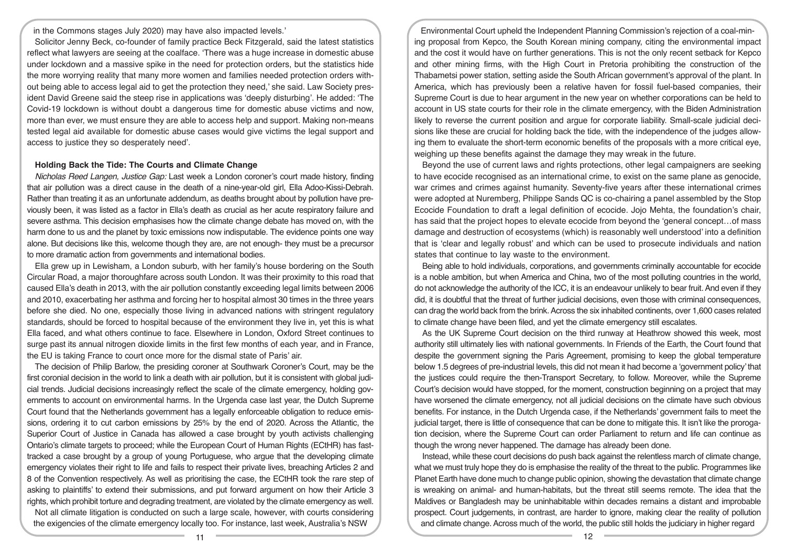in the Commons stages July 2020) may have also impacted levels.'

Solicitor Jenny Beck, co-founder of family practice Beck Fitzgerald, said the latest statistics reflect what lawyers are seeing at the coalface. 'There was a huge increase in domestic abuse under lockdown and a massive spike in the need for protection orders, but the statistics hide the more worrying reality that many more women and families needed protection orders without being able to access legal aid to get the protection they need,' she said. Law Society president David Greene said the steep rise in applications was 'deeply disturbing'. He added: 'The Covid-19 lockdown is without doubt a dangerous time for domestic abuse victims and now, more than ever, we must ensure they are able to access help and support. Making non-means tested legal aid available for domestic abuse cases would give victims the legal support and access to justice they so desperately need'.

# **Holding Back the Tide: The Courts and Climate Change**

*Nicholas Reed Langen, Justice Gap:* Last week a London coroner's court made history, finding that air pollution was a direct cause in the death of a nine-year-old girl, Ella Adoo-Kissi-Debrah. Rather than treating it as an unfortunate addendum, as deaths brought about by pollution have previously been, it was listed as a factor in Ella's death as crucial as her acute respiratory failure and severe asthma. This decision emphasises how the climate change debate has moved on, with the harm done to us and the planet by toxic emissions now indisputable. The evidence points one way alone. But decisions like this, welcome though they are, are not enough- they must be a precursor to more dramatic action from governments and international bodies.

Ella grew up in Lewisham, a London suburb, with her family's house bordering on the South Circular Road, a major thoroughfare across south London. It was their proximity to this road that caused Ella's death in 2013, with the air pollution constantly exceeding legal limits between 2006 and 2010, exacerbating her asthma and forcing her to hospital almost 30 times in the three years before she died. No one, especially those living in advanced nations with stringent regulatory standards, should be forced to hospital because of the environment they live in, yet this is what Ella faced, and what others continue to face. Elsewhere in London, Oxford Street continues to surge past its annual nitrogen dioxide limits in the first few months of each year, and in France, the EU is taking France to court once more for the dismal state of Paris' air.

The decision of Philip Barlow, the presiding coroner at Southwark Coroner's Court, may be the first coronial decision in the world to link a death with air pollution, but it is consistent with global judicial trends. Judicial decisions increasingly reflect the scale of the climate emergency, holding governments to account on environmental harms. In the Urgenda case last year, the Dutch Supreme Court found that the Netherlands government has a legally enforceable obligation to reduce emissions, ordering it to cut carbon emissions by 25% by the end of 2020. Across the Atlantic, the Superior Court of Justice in Canada has allowed a case brought by youth activists challenging Ontario's climate targets to proceed; while the European Court of Human Rights (ECtHR) has fasttracked a case brought by a group of young Portuguese, who argue that the developing climate emergency violates their right to life and fails to respect their private lives, breaching Articles 2 and 8 of the Convention respectively. As well as prioritising the case, the ECtHR took the rare step of asking to plaintiffs' to extend their submissions, and put forward argument on how their Article 3 rights, which prohibit torture and degrading treatment, are violated by the climate emergency as well. Not all climate litigation is conducted on such a large scale, however, with courts considering the exigencies of the climate emergency locally too. For instance, last week, Australia's NSW

Environmental Court upheld the Independent Planning Commission's rejection of a coal-mining proposal from Kepco, the South Korean mining company, citing the environmental impact and the cost it would have on further generations. This is not the only recent setback for Kepco and other mining firms, with the High Court in Pretoria prohibiting the construction of the Thabametsi power station, setting aside the South African government's approval of the plant. In America, which has previously been a relative haven for fossil fuel-based companies, their Supreme Court is due to hear argument in the new year on whether corporations can be held to account in US state courts for their role in the climate emergency, with the Biden Administration likely to reverse the current position and argue for corporate liability. Small-scale judicial decisions like these are crucial for holding back the tide, with the independence of the judges allowing them to evaluate the short-term economic benefits of the proposals with a more critical eye, weighing up these benefits against the damage they may wreak in the future.

Beyond the use of current laws and rights protections, other legal campaigners are seeking to have ecocide recognised as an international crime, to exist on the same plane as genocide, war crimes and crimes against humanity. Seventy-five years after these international crimes were adopted at Nuremberg, Philippe Sands QC is co-chairing a panel assembled by the Stop Ecocide Foundation to draft a legal definition of ecocide. Jojo Mehta, the foundation's chair, has said that the project hopes to elevate ecocide from beyond the 'general concept…of mass damage and destruction of ecosystems (which) is reasonably well understood' into a definition that is 'clear and legally robust' and which can be used to prosecute individuals and nation states that continue to lay waste to the environment.

Being able to hold individuals, corporations, and governments criminally accountable for ecocide is a noble ambition, but when America and China, two of the most polluting countries in the world, do not acknowledge the authority of the ICC, it is an endeavour unlikely to bear fruit. And even if they did, it is doubtful that the threat of further judicial decisions, even those with criminal consequences, can drag the world back from the brink. Across the six inhabited continents, over 1,600 cases related to climate change have been filed, and yet the climate emergency still escalates.

As the UK Supreme Court decision on the third runway at Heathrow showed this week, most authority still ultimately lies with national governments. In Friends of the Earth, the Court found that despite the government signing the Paris Agreement, promising to keep the global temperature below 1.5 degrees of pre-industrial levels, this did not mean it had become a 'government policy' that the justices could require the then-Transport Secretary, to follow. Moreover, while the Supreme Court's decision would have stopped, for the moment, construction beginning on a project that may have worsened the climate emergency, not all judicial decisions on the climate have such obvious benefits. For instance, in the Dutch Urgenda case, if the Netherlands' government fails to meet the judicial target, there is little of consequence that can be done to mitigate this. It isn't like the prorogation decision, where the Supreme Court can order Parliament to return and life can continue as though the wrong never happened. The damage has already been done.

Instead, while these court decisions do push back against the relentless march of climate change, what we must truly hope they do is emphasise the reality of the threat to the public. Programmes like Planet Earth have done much to change public opinion, showing the devastation that climate change is wreaking on animal- and human-habitats, but the threat still seems remote. The idea that the Maldives or Bangladesh may be uninhabitable within decades remains a distant and improbable prospect. Court judgements, in contrast, are harder to ignore, making clear the reality of pollution and climate change. Across much of the world, the public still holds the judiciary in higher regard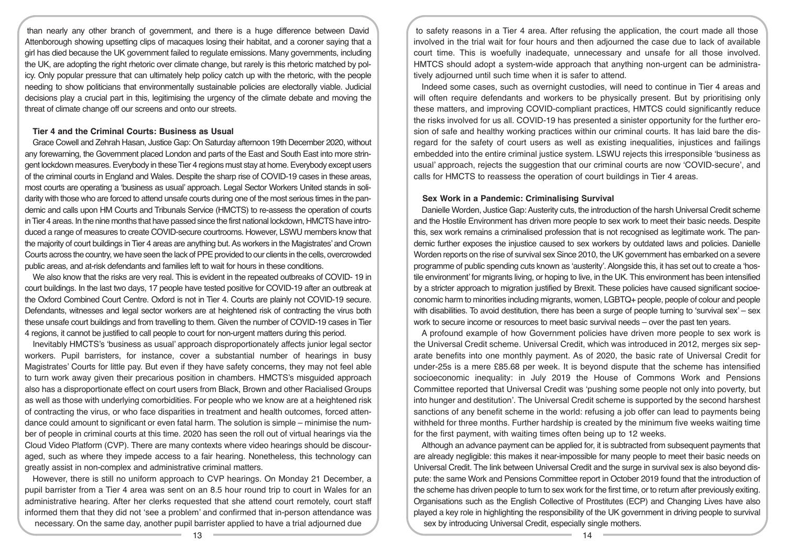than nearly any other branch of government, and there is a huge difference between David Attenborough showing upsetting clips of macaques losing their habitat, and a coroner saying that a girl has died because the UK government failed to regulate emissions. Many governments, including the UK, are adopting the right rhetoric over climate change, but rarely is this rhetoric matched by policy. Only popular pressure that can ultimately help policy catch up with the rhetoric, with the people needing to show politicians that environmentally sustainable policies are electorally viable. Judicial decisions play a crucial part in this, legitimising the urgency of the climate debate and moving the threat of climate change off our screens and onto our streets.

# **Tier 4 and the Criminal Courts: Business as Usual**

Grace Cowell and Zehrah Hasan, Justice Gap: On Saturday afternoon 19th December 2020, without any forewarning, the Government placed London and parts of the East and South East into more stringent lockdown measures. Everybody in these Tier 4 regions must stay at home. Everybody except users of the criminal courts in England and Wales. Despite the sharp rise of COVID-19 cases in these areas, most courts are operating a 'business as usual' approach. Legal Sector Workers United stands in solidarity with those who are forced to attend unsafe courts during one of the most serious times in the pandemic and calls upon HM Courts and Tribunals Service (HMCTS) to re-assess the operation of courts in Tier 4 areas. In the nine months that have passed since the first national lockdown, HMCTS have introduced a range of measures to create COVID-secure courtrooms. However, LSWU members know that the majority of court buildings in Tier 4 areas are anything but. As workers in the Magistrates' and Crown Courts across the country, we have seen the lack of PPE provided to our clients in the cells, overcrowded public areas, and at-risk defendants and families left to wait for hours in these conditions.

We also know that the risks are very real. This is evident in the repeated outbreaks of COVID- 19 in court buildings. In the last two days, 17 people have tested positive for COVID-19 after an outbreak at the Oxford Combined Court Centre. Oxford is not in Tier 4. Courts are plainly not COVID-19 secure. Defendants, witnesses and legal sector workers are at heightened risk of contracting the virus both these unsafe court buildings and from travelling to them. Given the number of COVID-19 cases in Tier 4 regions, it cannot be justified to call people to court for non-urgent matters during this period.

Inevitably HMCTS's 'business as usual' approach disproportionately affects junior legal sector workers. Pupil barristers, for instance, cover a substantial number of hearings in busy Magistrates' Courts for little pay. But even if they have safety concerns, they may not feel able to turn work away given their precarious position in chambers. HMCTS's misguided approach also has a disproportionate effect on court users from Black, Brown and other Racialised Groups as well as those with underlying comorbidities. For people who we know are at a heightened risk of contracting the virus, or who face disparities in treatment and health outcomes, forced attendance could amount to significant or even fatal harm. The solution is simple – minimise the number of people in criminal courts at this time. 2020 has seen the roll out of virtual hearings via the Cloud Video Platform (CVP). There are many contexts where video hearings should be discouraged, such as where they impede access to a fair hearing. Nonetheless, this technology can greatly assist in non-complex and administrative criminal matters.

However, there is still no uniform approach to CVP hearings. On Monday 21 December, a pupil barrister from a Tier 4 area was sent on an 8.5 hour round trip to court in Wales for an administrative hearing. After her clerks requested that she attend court remotely, court staff informed them that they did not 'see a problem' and confirmed that in-person attendance was necessary. On the same day, another pupil barrister applied to have a trial adjourned due

to safety reasons in a Tier 4 area. After refusing the application, the court made all those involved in the trial wait for four hours and then adjourned the case due to lack of available court time. This is woefully inadequate, unnecessary and unsafe for all those involved. HMTCS should adopt a system-wide approach that anything non-urgent can be administratively adjourned until such time when it is safer to attend.

Indeed some cases, such as overnight custodies, will need to continue in Tier 4 areas and will often require defendants and workers to be physically present. But by prioritising only these matters, and improving COVID-compliant practices, HMTCS could significantly reduce the risks involved for us all. COVID-19 has presented a sinister opportunity for the further erosion of safe and healthy working practices within our criminal courts. It has laid bare the disregard for the safety of court users as well as existing inequalities, injustices and failings embedded into the entire criminal justice system. LSWU rejects this irresponsible 'business as usual' approach, rejects the suggestion that our criminal courts are now 'COVID-secure', and calls for HMCTS to reassess the operation of court buildings in Tier 4 areas.

#### **Sex Work in a Pandemic: Criminalising Survival**

Danielle Worden, Justice Gap: Austerity cuts, the introduction of the harsh Universal Credit scheme and the Hostile Environment has driven more people to sex work to meet their basic needs. Despite this, sex work remains a criminalised profession that is not recognised as legitimate work. The pandemic further exposes the injustice caused to sex workers by outdated laws and policies. Danielle Worden reports on the rise of survival sex Since 2010, the UK government has embarked on a severe programme of public spending cuts known as 'austerity'. Alongside this, it has set out to create a 'hostile environment' for migrants living, or hoping to live, in the UK. This environment has been intensified by a stricter approach to migration justified by Brexit. These policies have caused significant socioeconomic harm to minorities including migrants, women, LGBTQ+ people, people of colour and people with disabilities. To avoid destitution, there has been a surge of people turning to 'survival sex' – sex work to secure income or resources to meet basic survival needs – over the past ten years.

A profound example of how Government policies have driven more people to sex work is the Universal Credit scheme. Universal Credit, which was introduced in 2012, merges six separate benefits into one monthly payment. As of 2020, the basic rate of Universal Credit for under-25s is a mere £85.68 per week. It is beyond dispute that the scheme has intensified socioeconomic inequality: in July 2019 the House of Commons Work and Pensions Committee reported that Universal Credit was 'pushing some people not only into poverty, but into hunger and destitution'. The Universal Credit scheme is supported by the second harshest sanctions of any benefit scheme in the world: refusing a job offer can lead to payments being withheld for three months. Further hardship is created by the minimum five weeks waiting time for the first payment, with waiting times often being up to 12 weeks.

Although an advance payment can be applied for, it is subtracted from subsequent payments that are already negligible: this makes it near-impossible for many people to meet their basic needs on Universal Credit. The link between Universal Credit and the surge in survival sex is also beyond dispute: the same Work and Pensions Committee report in October 2019 found that the introduction of the scheme has driven people to turn to sex work for the first time, or to return after previously exiting. Organisations such as the English Collective of Prostitutes (ECP) and Changing Lives have also played a key role in highlighting the responsibility of the UK government in driving people to survival sex by introducing Universal Credit, especially single mothers.